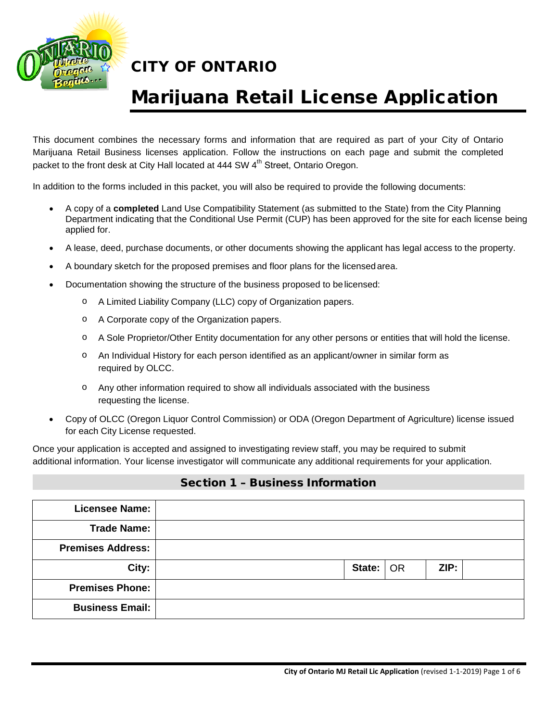

# Marijuana Retail License Application

This document combines the necessary forms and information that are required as part of your City of Ontario Marijuana Retail Business licenses application. Follow the instructions on each page and submit the completed packet to the front desk at City Hall located at 444 SW 4<sup>th</sup> Street, Ontario Oregon.

In addition to the forms included in this packet, you will also be required to provide the following documents:

- A copy of a **completed** Land Use Compatibility Statement (as submitted to the State) from the City Planning Department indicating that the Conditional Use Permit (CUP) has been approved for the site for each license being applied for.
- A lease, deed, purchase documents, or other documents showing the applicant has legal access to the property.
- A boundary sketch for the proposed premises and floor plans for the licensedarea.
- Documentation showing the structure of the business proposed to belicensed:
	- o A Limited Liability Company (LLC) copy of Organization papers.
	- o A Corporate copy of the Organization papers.
	- o A Sole Proprietor/Other Entity documentation for any other persons or entities that will hold the license.
	- o An Individual History for each person identified as an applicant/owner in similar form as required by OLCC.
	- o Any other information required to show all individuals associated with the business requesting the license.
- Copy of OLCC (Oregon Liquor Control Commission) or ODA (Oregon Department of Agriculture) license issued for each City License requested.

Once your application is accepted and assigned to investigating review staff, you may be required to submit additional information. Your license investigator will communicate any additional requirements for your application.

### Section 1 – Business Information

| <b>Licensee Name:</b>    |             |      |  |
|--------------------------|-------------|------|--|
| <b>Trade Name:</b>       |             |      |  |
| <b>Premises Address:</b> |             |      |  |
| City:                    | State:   OR | ZIP: |  |
| <b>Premises Phone:</b>   |             |      |  |
| <b>Business Email:</b>   |             |      |  |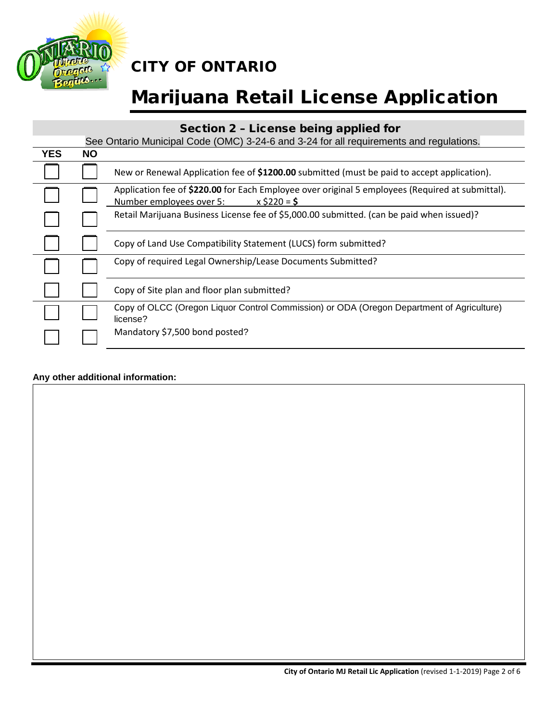

# Marijuana Retail License Application

## Section 2 – License being applied for

|            |           | See Ontario Municipal Code (OMC) 3-24-6 and 3-24 for all requirements and regulations.                                                         |
|------------|-----------|------------------------------------------------------------------------------------------------------------------------------------------------|
| <b>YES</b> | <b>NO</b> |                                                                                                                                                |
|            |           | New or Renewal Application fee of \$1200.00 submitted (must be paid to accept application).                                                    |
|            |           | Application fee of \$220.00 for Each Employee over original 5 employees (Required at submittal).<br>Number employees over 5:<br>$x$ \$220 = \$ |
|            |           | Retail Marijuana Business License fee of \$5,000.00 submitted. (can be paid when issued)?                                                      |
|            |           | Copy of Land Use Compatibility Statement (LUCS) form submitted?                                                                                |
|            |           | Copy of required Legal Ownership/Lease Documents Submitted?                                                                                    |
|            |           | Copy of Site plan and floor plan submitted?                                                                                                    |
|            |           | Copy of OLCC (Oregon Liquor Control Commission) or ODA (Oregon Department of Agriculture)<br>license?                                          |
|            |           | Mandatory \$7,500 bond posted?                                                                                                                 |

### **Any other additional information:**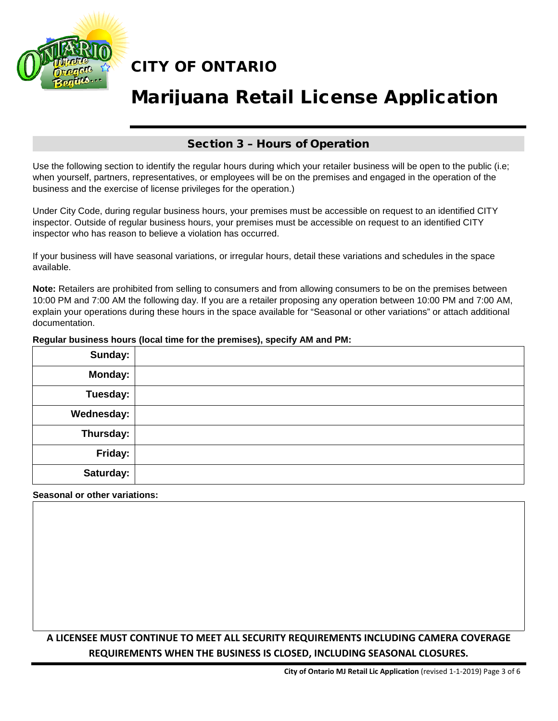

# Marijuana Retail License Application

### Section 3 – Hours of Operation

Use the following section to identify the regular hours during which your retailer business will be open to the public (i.e; when yourself, partners, representatives, or employees will be on the premises and engaged in the operation of the business and the exercise of license privileges for the operation.)

Under City Code, during regular business hours, your premises must be accessible on request to an identified CITY inspector. Outside of regular business hours, your premises must be accessible on request to an identified CITY inspector who has reason to believe a violation has occurred.

If your business will have seasonal variations, or irregular hours, detail these variations and schedules in the space available.

**Note:** Retailers are prohibited from selling to consumers and from allowing consumers to be on the premises between 10:00 PM and 7:00 AM the following day. If you are a retailer proposing any operation between 10:00 PM and 7:00 AM, explain your operations during these hours in the space available for "Seasonal or other variations" or attach additional documentation.

#### **Regular business hours (local time for the premises), specify AM and PM:**

| Sunday:        |  |
|----------------|--|
| <b>Monday:</b> |  |
| Tuesday:       |  |
| Wednesday:     |  |
| Thursday:      |  |
| Friday:        |  |
| Saturday:      |  |

### **Seasonal or other variations:**

## **A LICENSEE MUST CONTINUE TO MEET ALL SECURITY REQUIREMENTS INCLUDING CAMERA COVERAGE REQUIREMENTS WHEN THE BUSINESS IS CLOSED, INCLUDING SEASONAL CLOSURES.**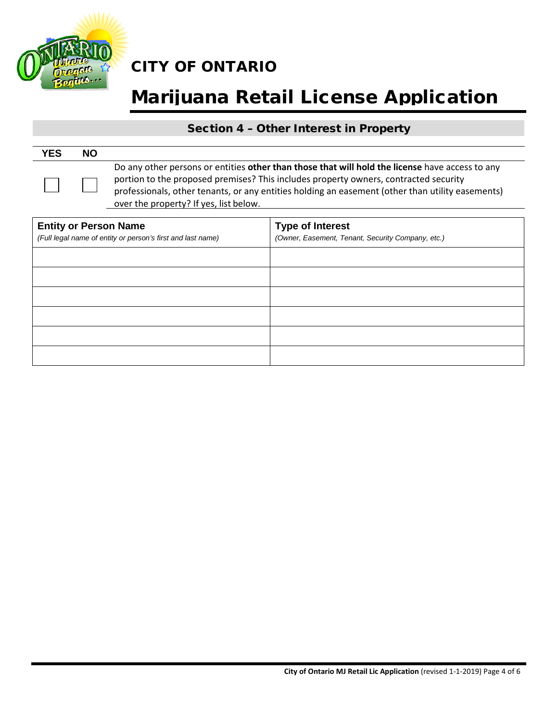

# Marijuana Retail License Application

## Section 4 – Other Interest in Property

| <b>YES</b> | <b>NO</b> |                                                                                                                                                                                                                                                                                                                                       |
|------------|-----------|---------------------------------------------------------------------------------------------------------------------------------------------------------------------------------------------------------------------------------------------------------------------------------------------------------------------------------------|
|            |           | Do any other persons or entities other than those that will hold the license have access to any<br>portion to the proposed premises? This includes property owners, contracted security<br>professionals, other tenants, or any entities holding an easement (other than utility easements)<br>over the property? If yes, list below. |

| <b>Entity or Person Name</b><br>(Full legal name of entity or person's first and last name) | <b>Type of Interest</b><br>(Owner, Easement, Tenant, Security Company, etc.) |
|---------------------------------------------------------------------------------------------|------------------------------------------------------------------------------|
|                                                                                             |                                                                              |
|                                                                                             |                                                                              |
|                                                                                             |                                                                              |
|                                                                                             |                                                                              |
|                                                                                             |                                                                              |
|                                                                                             |                                                                              |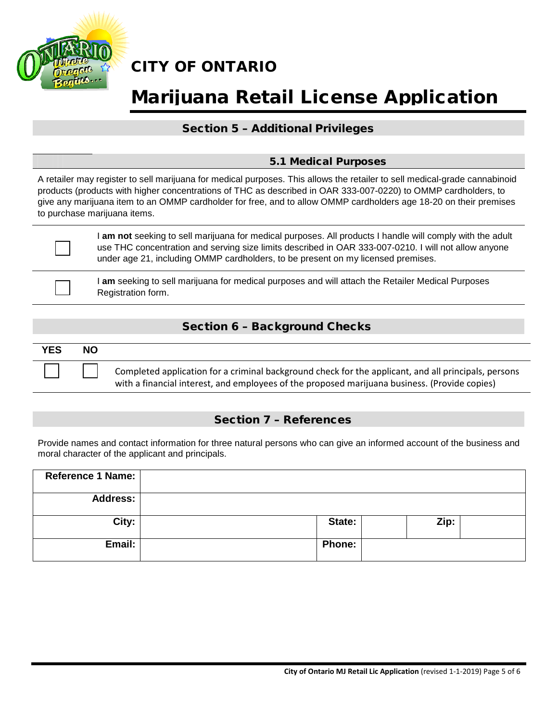

# Marijuana Retail License Application

### Section 5 – Additional Privileges

### 5.1 Medical Purposes

A retailer may register to sell marijuana for medical purposes. This allows the retailer to sell medical-grade cannabinoid products (products with higher concentrations of THC as described in OAR 333-007-0220) to OMMP cardholders, to give any marijuana item to an OMMP cardholder for free, and to allow OMMP cardholders age 18-20 on their premises to purchase marijuana items.

☐

☐

I **am not** seeking to sell marijuana for medical purposes. All products I handle will comply with the adult use THC concentration and serving size limits described in OAR 333-007-0210. I will not allow anyone under age 21, including OMMP cardholders, to be present on my licensed premises.

I **am** seeking to sell marijuana for medical purposes and will attach the Retailer Medical Purposes Registration form.

## Section 6 – Background Checks

| <b>YES</b> | <b>NO</b> |                                                                                                                                                                                                       |
|------------|-----------|-------------------------------------------------------------------------------------------------------------------------------------------------------------------------------------------------------|
|            |           | Completed application for a criminal background check for the applicant, and all principals, persons<br>with a financial interest, and employees of the proposed marijuana business. (Provide copies) |

### Section 7 – References

Provide names and contact information for three natural persons who can give an informed account of the business and moral character of the applicant and principals.

| <b>Reference 1 Name:</b> |               |      |  |
|--------------------------|---------------|------|--|
| <b>Address:</b>          |               |      |  |
| City:                    | State:        | Zip: |  |
| Email:                   | <b>Phone:</b> |      |  |